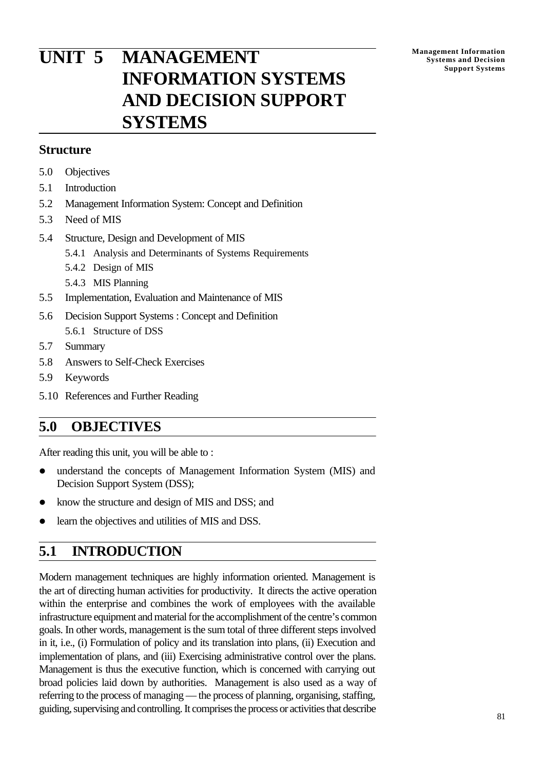# **UNIT 5 MANAGEMENT INFORMATION SYSTEMS AND DECISION SUPPORT SYSTEMS**

### **Structure**

- 5.0 Objectives
- 5.1 Introduction
- 5.2 Management Information System: Concept and Definition
- 5.3 Need of MIS
- 5.4 Structure, Design and Development of MIS
	- 5.4.1 Analysis and Determinants of Systems Requirements
	- 5.4.2 Design of MIS
	- 5.4.3 MIS Planning
- 5.5 Implementation, Evaluation and Maintenance of MIS
- 5.6 Decision Support Systems : Concept and Definition 5.6.1 Structure of DSS
- 5.7 Summary
- 5.8 Answers to Self-Check Exercises
- 5.9 Keywords
- 5.10 References and Further Reading

### **5.0 OBJECTIVES**

After reading this unit, you will be able to :

- understand the concepts of Management Information System (MIS) and Decision Support System (DSS);
- know the structure and design of MIS and DSS; and
- learn the objectives and utilities of MIS and DSS.

## **5.1 INTRODUCTION**

Modern management techniques are highly information oriented. Management is the art of directing human activities for productivity. It directs the active operation within the enterprise and combines the work of employees with the available infrastructure equipment and material for the accomplishment of the centre's common goals. In other words, management is the sum total of three different steps involved in it, i.e., (i) Formulation of policy and its translation into plans, (ii) Execution and implementation of plans, and (iii) Exercising administrative control over the plans. Management is thus the executive function, which is concerned with carrying out broad policies laid down by authorities. Management is also used as a way of referring to the process of managing — the process of planning, organising, staffing, guiding, supervising and controlling. It comprises the process or activities that describe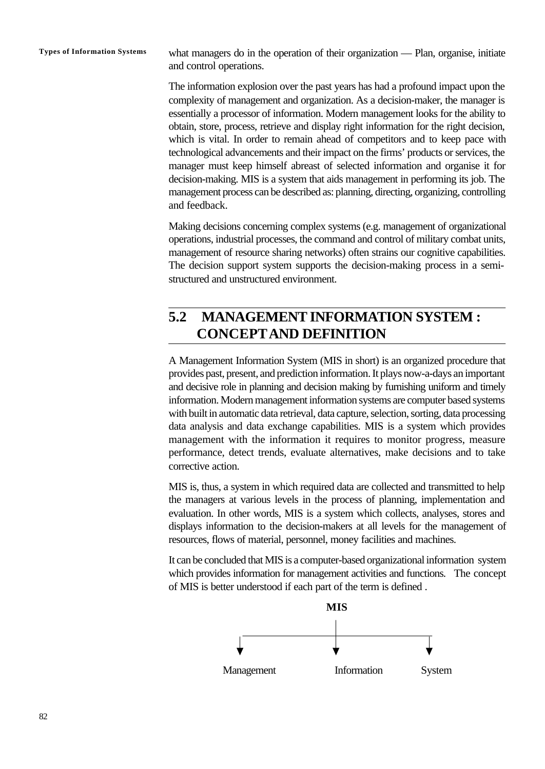**Types of Information Systems** what managers do in the operation of their organization — Plan, organise, initiate and control operations.

> The information explosion over the past years has had a profound impact upon the complexity of management and organization. As a decision-maker, the manager is essentially a processor of information. Modern management looks for the ability to obtain, store, process, retrieve and display right information for the right decision, which is vital. In order to remain ahead of competitors and to keep pace with technological advancements and their impact on the firms' products or services, the manager must keep himself abreast of selected information and organise it for decision-making. MIS is a system that aids management in performing its job. The management process can be described as: planning, directing, organizing, controlling and feedback.

> Making decisions concerning complex systems (e.g. management of organizational operations, industrial processes, the command and control of military combat units, management of resource sharing networks) often strains our cognitive capabilities. The decision support system supports the decision-making process in a semistructured and unstructured environment.

## **5.2 MANAGEMENT INFORMATION SYSTEM : CONCEPTAND DEFINITION**

A Management Information System (MIS in short) is an organized procedure that provides past, present, and prediction information. It plays now-a-days an important and decisive role in planning and decision making by furnishing uniform and timely information. Modern management information systems are computer based systems with built in automatic data retrieval, data capture, selection, sorting, data processing data analysis and data exchange capabilities. MIS is a system which provides management with the information it requires to monitor progress, measure performance, detect trends, evaluate alternatives, make decisions and to take corrective action.

MIS is, thus, a system in which required data are collected and transmitted to help the managers at various levels in the process of planning, implementation and evaluation. In other words, MIS is a system which collects, analyses, stores and displays information to the decision-makers at all levels for the management of resources, flows of material, personnel, money facilities and machines.

It can be concluded that MIS is a computer-based organizational information system which provides information for management activities and functions. The concept of MIS is better understood if each part of the term is defined .

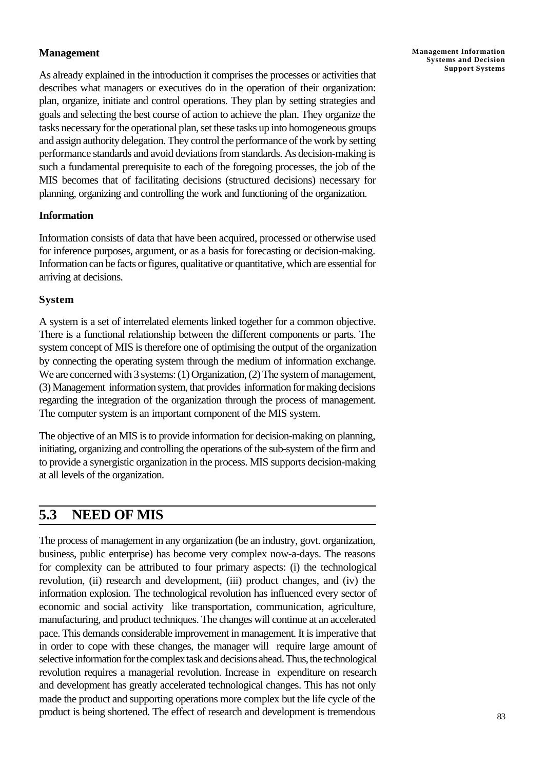### **Management**

As already explained in the introduction it comprises the processes or activities that describes what managers or executives do in the operation of their organization: plan, organize, initiate and control operations. They plan by setting strategies and goals and selecting the best course of action to achieve the plan. They organize the tasks necessary for the operational plan, set these tasks up into homogeneous groups and assign authority delegation. They control the performance of the work by setting performance standards and avoid deviations from standards. As decision-making is such a fundamental prerequisite to each of the foregoing processes, the job of the MIS becomes that of facilitating decisions (structured decisions) necessary for planning, organizing and controlling the work and functioning of the organization.

### **Information**

Information consists of data that have been acquired, processed or otherwise used for inference purposes, argument, or as a basis for forecasting or decision-making. Information can be facts or figures, qualitative or quantitative, which are essential for arriving at decisions.

### **System**

A system is a set of interrelated elements linked together for a common objective. There is a functional relationship between the different components or parts. The system concept of MIS is therefore one of optimising the output of the organization by connecting the operating system through the medium of information exchange. We are concerned with 3 systems: (1) Organization, (2) The system of management, (3) Management information system, that provides information for making decisions regarding the integration of the organization through the process of management. The computer system is an important component of the MIS system.

The objective of an MIS is to provide information for decision-making on planning, initiating, organizing and controlling the operations of the sub-system of the firm and to provide a synergistic organization in the process. MIS supports decision-making at all levels of the organization.

## **5.3 NEED OF MIS**

The process of management in any organization (be an industry, govt. organization, business, public enterprise) has become very complex now-a-days. The reasons for complexity can be attributed to four primary aspects: (i) the technological revolution, (ii) research and development, (iii) product changes, and (iv) the information explosion. The technological revolution has influenced every sector of economic and social activity like transportation, communication, agriculture, manufacturing, and product techniques. The changes will continue at an accelerated pace. This demands considerable improvement in management. It is imperative that in order to cope with these changes, the manager will require large amount of selective information for the complex task and decisions ahead. Thus, the technological revolution requires a managerial revolution. Increase in expenditure on research and development has greatly accelerated technological changes. This has not only made the product and supporting operations more complex but the life cycle of the product is being shortened. The effect of research and development is tremendous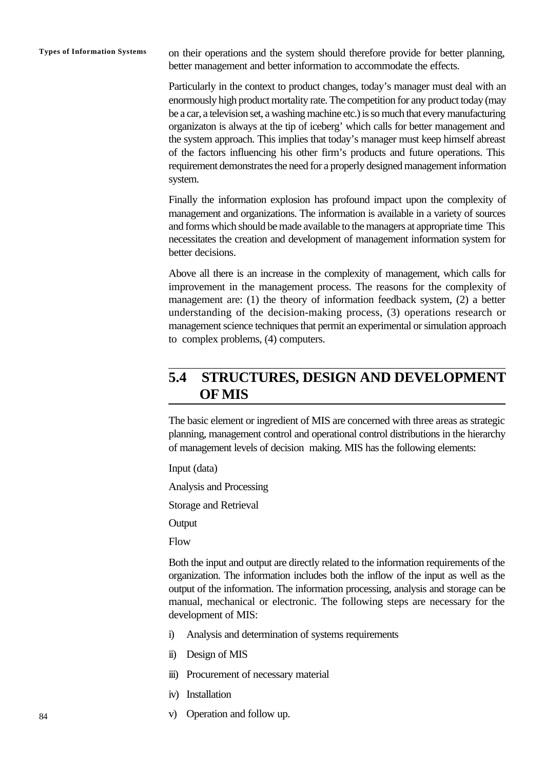**Types of Information Systems** on their operations and the system should therefore provide for better planning, better management and better information to accommodate the effects.

> Particularly in the context to product changes, today's manager must deal with an enormously high product mortality rate. The competition for any product today (may be a car, a television set, a washing machine etc.) is so much that every manufacturing organizaton is always at the tip of iceberg' which calls for better management and the system approach. This implies that today's manager must keep himself abreast of the factors influencing his other firm's products and future operations. This requirement demonstrates the need for a properly designed management information system.

> Finally the information explosion has profound impact upon the complexity of management and organizations. The information is available in a variety of sources and forms which should be made available to the managers at appropriate time This necessitates the creation and development of management information system for better decisions.

> Above all there is an increase in the complexity of management, which calls for improvement in the management process. The reasons for the complexity of management are: (1) the theory of information feedback system, (2) a better understanding of the decision-making process, (3) operations research or management science techniques that permit an experimental or simulation approach to complex problems, (4) computers.

## **5.4 STRUCTURES, DESIGN AND DEVELOPMENT OF MIS**

The basic element or ingredient of MIS are concerned with three areas as strategic planning, management control and operational control distributions in the hierarchy of management levels of decision making. MIS has the following elements:

Input (data)

Analysis and Processing

Storage and Retrieval

**Output** 

Flow

Both the input and output are directly related to the information requirements of the organization. The information includes both the inflow of the input as well as the output of the information. The information processing, analysis and storage can be manual, mechanical or electronic. The following steps are necessary for the development of MIS:

- i) Analysis and determination of systems requirements
- ii) Design of MIS
- iii) Procurement of necessary material
- iv) Installation
- v) Operation and follow up.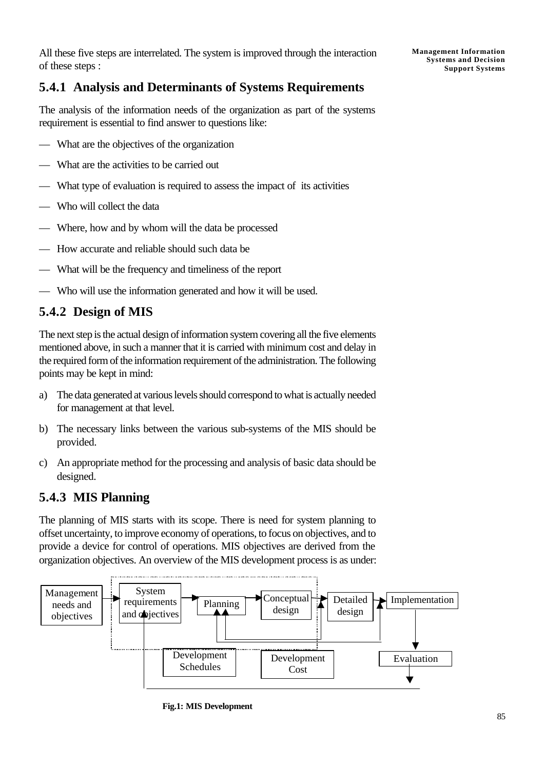All these five steps are interrelated. The system is improved through the interaction of these steps :

### **5.4.1 Analysis and Determinants of Systems Requirements**

The analysis of the information needs of the organization as part of the systems requirement is essential to find answer to questions like:

- What are the objectives of the organization
- What are the activities to be carried out
- What type of evaluation is required to assess the impact of its activities
- Who will collect the data
- Where, how and by whom will the data be processed
- How accurate and reliable should such data be
- What will be the frequency and timeliness of the report
- Who will use the information generated and how it will be used.

### **5.4.2 Design of MIS**

The next step is the actual design of information system covering all the five elements mentioned above, in such a manner that it is carried with minimum cost and delay in the required form of the information requirement of the administration. The following points may be kept in mind:

- a) The data generated at various levels should correspond to what is actually needed for management at that level.
- b) The necessary links between the various sub-systems of the MIS should be provided.
- c) An appropriate method for the processing and analysis of basic data should be designed.

### **5.4.3 MIS Planning**

The planning of MIS starts with its scope. There is need for system planning to offset uncertainty, to improve economy of operations, to focus on objectives, and to provide a device for control of operations. MIS objectives are derived from the organization objectives. An overview of the MIS development process is as under:



**Fig.1: MIS Development**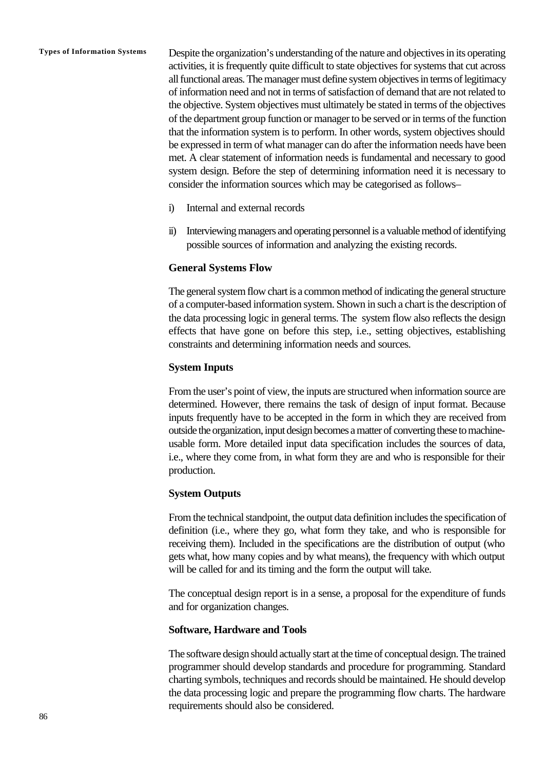**Types of Information Systems** Despite the organization's understanding of the nature and objectives in its operating activities, it is frequently quite difficult to state objectives for systems that cut across all functional areas. The manager must define system objectives in terms of legitimacy of information need and not in terms of satisfaction of demand that are not related to the objective. System objectives must ultimately be stated in terms of the objectives of the department group function or manager to be served or in terms of the function that the information system is to perform. In other words, system objectives should be expressed in term of what manager can do after the information needs have been met. A clear statement of information needs is fundamental and necessary to good system design. Before the step of determining information need it is necessary to consider the information sources which may be categorised as follows–

- i) Internal and external records
- ii) Interviewing managers and operating personnel is a valuable method of identifying possible sources of information and analyzing the existing records.

#### **General Systems Flow**

The general system flow chart is a common method of indicating the general structure of a computer-based information system. Shown in such a chart is the description of the data processing logic in general terms. The system flow also reflects the design effects that have gone on before this step, i.e., setting objectives, establishing constraints and determining information needs and sources.

#### **System Inputs**

From the user's point of view, the inputs are structured when information source are determined. However, there remains the task of design of input format. Because inputs frequently have to be accepted in the form in which they are received from outside the organization, input design becomes a matter of converting these to machineusable form. More detailed input data specification includes the sources of data, i.e., where they come from, in what form they are and who is responsible for their production.

#### **System Outputs**

From the technical standpoint, the output data definition includes the specification of definition (i.e., where they go, what form they take, and who is responsible for receiving them). Included in the specifications are the distribution of output (who gets what, how many copies and by what means), the frequency with which output will be called for and its timing and the form the output will take.

The conceptual design report is in a sense, a proposal for the expenditure of funds and for organization changes.

#### **Software, Hardware and Tools**

The software design should actually start at the time of conceptual design. The trained programmer should develop standards and procedure for programming. Standard charting symbols, techniques and records should be maintained. He should develop the data processing logic and prepare the programming flow charts. The hardware requirements should also be considered.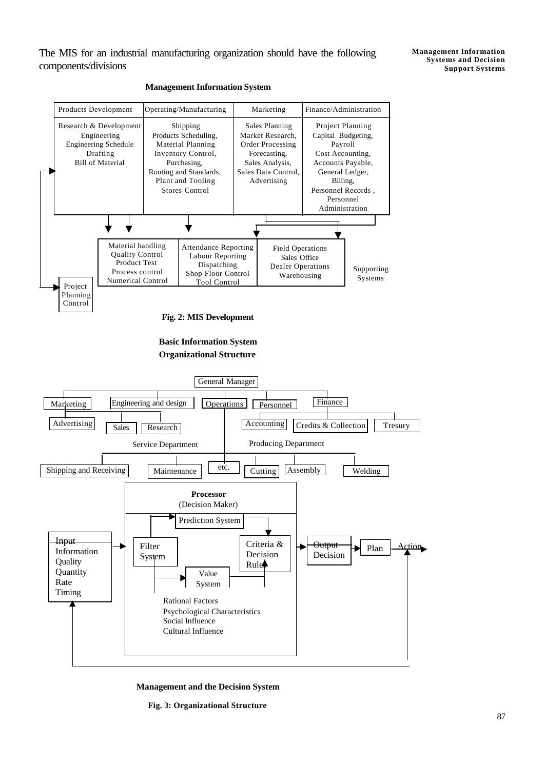The MIS for an industrial manufacturing organization should have the following components/divisions



#### **Management Information System**

**Fig. 2: MIS Development**





**Management and the Decision System**

**Fig. 3: Organizational Structure**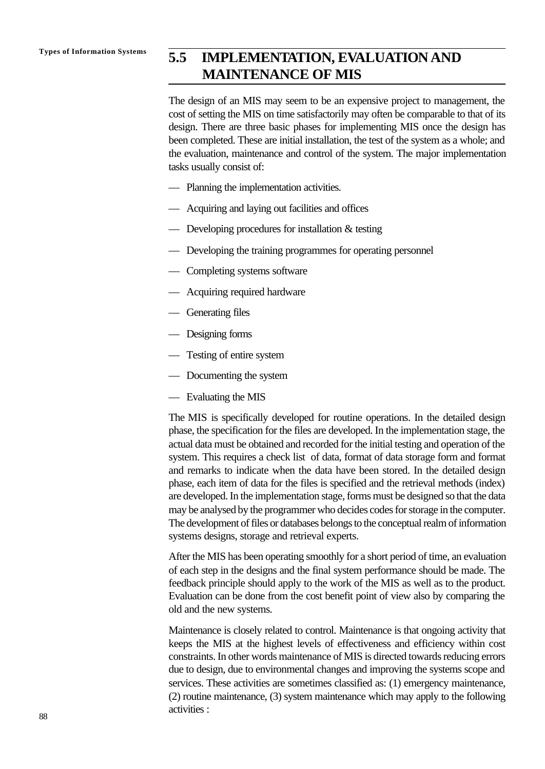## **Types of Information Systems 5.5 IMPLEMENTATION, EVALUATION AND MAINTENANCE OF MIS**

The design of an MIS may seem to be an expensive project to management, the cost of setting the MIS on time satisfactorily may often be comparable to that of its design. There are three basic phases for implementing MIS once the design has been completed. These are initial installation, the test of the system as a whole; and the evaluation, maintenance and control of the system. The major implementation tasks usually consist of:

- Planning the implementation activities.
- Acquiring and laying out facilities and offices
- Developing procedures for installation & testing
- Developing the training programmes for operating personnel
- Completing systems software
- Acquiring required hardware
- Generating files
- Designing forms
- Testing of entire system
- Documenting the system
- Evaluating the MIS

The MIS is specifically developed for routine operations. In the detailed design phase, the specification for the files are developed. In the implementation stage, the actual data must be obtained and recorded for the initial testing and operation of the system. This requires a check list of data, format of data storage form and format and remarks to indicate when the data have been stored. In the detailed design phase, each item of data for the files is specified and the retrieval methods (index) are developed. In the implementation stage, forms must be designed so that the data may be analysed by the programmer who decides codes for storage in the computer. The development of files or databases belongs to the conceptual realm of information systems designs, storage and retrieval experts.

After the MIS has been operating smoothly for a short period of time, an evaluation of each step in the designs and the final system performance should be made. The feedback principle should apply to the work of the MIS as well as to the product. Evaluation can be done from the cost benefit point of view also by comparing the old and the new systems.

Maintenance is closely related to control. Maintenance is that ongoing activity that keeps the MIS at the highest levels of effectiveness and efficiency within cost constraints. In other words maintenance of MIS is directed towards reducing errors due to design, due to environmental changes and improving the systems scope and services. These activities are sometimes classified as: (1) emergency maintenance, (2) routine maintenance, (3) system maintenance which may apply to the following activities :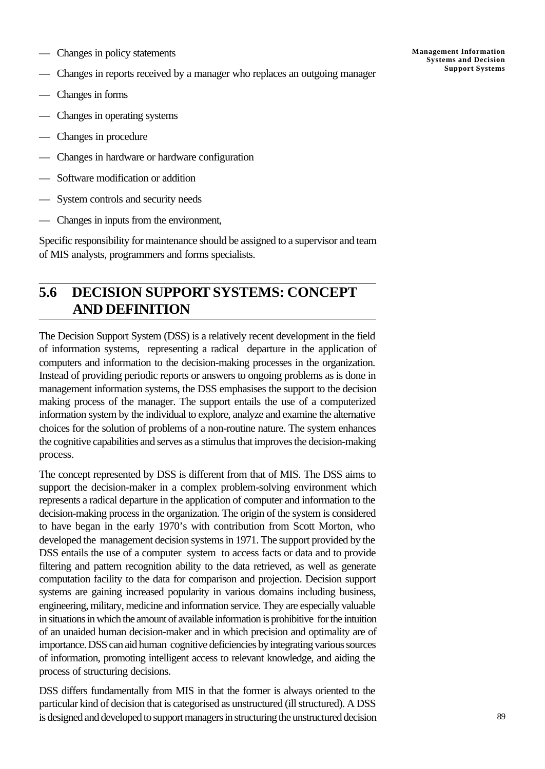- Changes in policy statements
- Changes in reports received by a manager who replaces an outgoing manager
- Changes in forms
- Changes in operating systems
- Changes in procedure
- Changes in hardware or hardware configuration
- Software modification or addition
- System controls and security needs
- Changes in inputs from the environment,

Specific responsibility for maintenance should be assigned to a supervisor and team of MIS analysts, programmers and forms specialists.

## **5.6 DECISION SUPPORT SYSTEMS: CONCEPT AND DEFINITION**

The Decision Support System (DSS) is a relatively recent development in the field of information systems, representing a radical departure in the application of computers and information to the decision-making processes in the organization. Instead of providing periodic reports or answers to ongoing problems as is done in management information systems, the DSS emphasises the support to the decision making process of the manager. The support entails the use of a computerized information system by the individual to explore, analyze and examine the alternative choices for the solution of problems of a non-routine nature. The system enhances the cognitive capabilities and serves as a stimulus that improves the decision-making process.

The concept represented by DSS is different from that of MIS. The DSS aims to support the decision-maker in a complex problem-solving environment which represents a radical departure in the application of computer and information to the decision-making process in the organization. The origin of the system is considered to have began in the early 1970's with contribution from Scott Morton, who developed the management decision systems in 1971. The support provided by the DSS entails the use of a computer system to access facts or data and to provide filtering and pattern recognition ability to the data retrieved, as well as generate computation facility to the data for comparison and projection. Decision support systems are gaining increased popularity in various domains including business, engineering, military, medicine and information service. They are especially valuable in situations in which the amount of available information is prohibitive for the intuition of an unaided human decision-maker and in which precision and optimality are of importance. DSS can aid human cognitive deficiencies by integrating various sources of information, promoting intelligent access to relevant knowledge, and aiding the process of structuring decisions.

DSS differs fundamentally from MIS in that the former is always oriented to the particular kind of decision that is categorised as unstructured (ill structured). A DSS is designed and developed to support managers in structuring the unstructured decision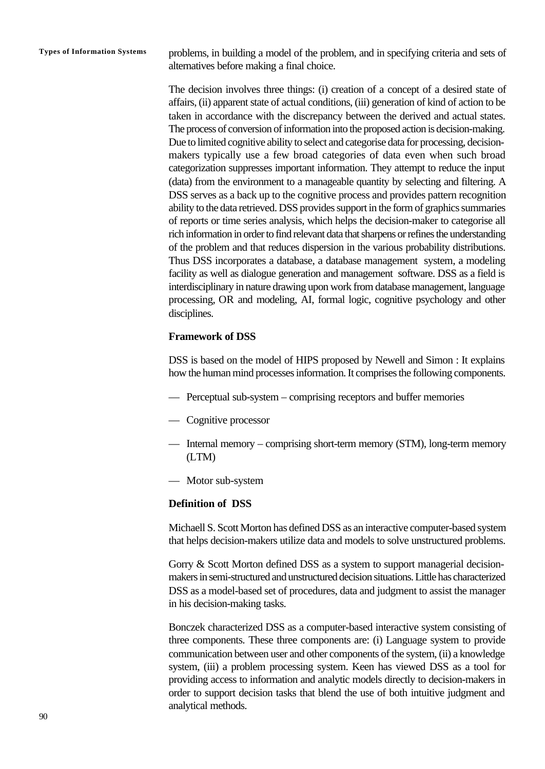**Types of Information Systems** problems, in building a model of the problem, and in specifying criteria and sets of alternatives before making a final choice.

> The decision involves three things: (i) creation of a concept of a desired state of affairs, (ii) apparent state of actual conditions, (iii) generation of kind of action to be taken in accordance with the discrepancy between the derived and actual states. The process of conversion of information into the proposed action is decision-making. Due to limited cognitive ability to select and categorise data for processing, decisionmakers typically use a few broad categories of data even when such broad categorization suppresses important information. They attempt to reduce the input (data) from the environment to a manageable quantity by selecting and filtering. A DSS serves as a back up to the cognitive process and provides pattern recognition ability to the data retrieved. DSS provides support in the form of graphics summaries of reports or time series analysis, which helps the decision-maker to categorise all rich information in order to find relevant data that sharpens or refines the understanding of the problem and that reduces dispersion in the various probability distributions. Thus DSS incorporates a database, a database management system, a modeling facility as well as dialogue generation and management software. DSS as a field is interdisciplinary in nature drawing upon work from database management, language processing, OR and modeling, AI, formal logic, cognitive psychology and other disciplines.

#### **Framework of DSS**

DSS is based on the model of HIPS proposed by Newell and Simon : It explains how the human mind processes information. It comprises the following components.

- Perceptual sub-system comprising receptors and buffer memories
- Cognitive processor
- Internal memory comprising short-term memory (STM), long-term memory (LTM)
- Motor sub-system

#### **Definition of DSS**

Michaell S. Scott Morton has defined DSS as an interactive computer-based system that helps decision-makers utilize data and models to solve unstructured problems.

Gorry & Scott Morton defined DSS as a system to support managerial decisionmakers in semi-structured and unstructured decision situations. Little has characterized DSS as a model-based set of procedures, data and judgment to assist the manager in his decision-making tasks.

Bonczek characterized DSS as a computer-based interactive system consisting of three components. These three components are: (i) Language system to provide communication between user and other components of the system, (ii) a knowledge system, (iii) a problem processing system. Keen has viewed DSS as a tool for providing access to information and analytic models directly to decision-makers in order to support decision tasks that blend the use of both intuitive judgment and analytical methods.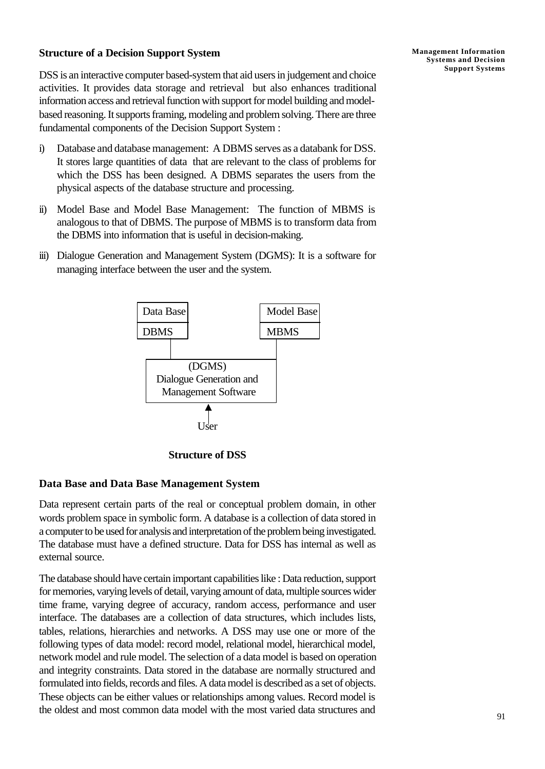### **Structure of a Decision Support System**

DSS is an interactive computer based-system that aid users in judgement and choice activities. It provides data storage and retrieval but also enhances traditional information access and retrieval function with support for model building and modelbased reasoning. It supports framing, modeling and problem solving. There are three fundamental components of the Decision Support System :

- i) Database and database management: A DBMS serves as a databank for DSS. It stores large quantities of data that are relevant to the class of problems for which the DSS has been designed. A DBMS separates the users from the physical aspects of the database structure and processing.
- ii) Model Base and Model Base Management: The function of MBMS is analogous to that of DBMS. The purpose of MBMS is to transform data from the DBMS into information that is useful in decision-making.
- iii) Dialogue Generation and Management System (DGMS): It is a software for managing interface between the user and the system.



**Structure of DSS**

### **Data Base and Data Base Management System**

Data represent certain parts of the real or conceptual problem domain, in other words problem space in symbolic form. A database is a collection of data stored in a computer to be used for analysis and interpretation of the problem being investigated. The database must have a defined structure. Data for DSS has internal as well as external source.

The database should have certain important capabilities like : Data reduction, support for memories, varying levels of detail, varying amount of data, multiple sources wider time frame, varying degree of accuracy, random access, performance and user interface. The databases are a collection of data structures, which includes lists, tables, relations, hierarchies and networks. A DSS may use one or more of the following types of data model: record model, relational model, hierarchical model, network model and rule model. The selection of a data model is based on operation and integrity constraints. Data stored in the database are normally structured and formulated into fields, records and files. A data model is described as a set of objects. These objects can be either values or relationships among values. Record model is the oldest and most common data model with the most varied data structures and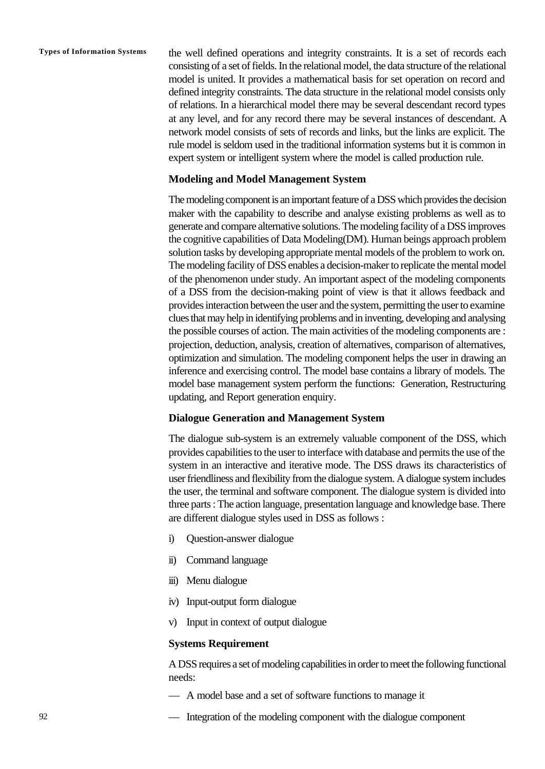**Types of Information Systems** the well defined operations and integrity constraints. It is a set of records each consisting of a set of fields. In the relational model, the data structure of the relational model is united. It provides a mathematical basis for set operation on record and defined integrity constraints. The data structure in the relational model consists only of relations. In a hierarchical model there may be several descendant record types at any level, and for any record there may be several instances of descendant. A network model consists of sets of records and links, but the links are explicit. The rule model is seldom used in the traditional information systems but it is common in expert system or intelligent system where the model is called production rule.

#### **Modeling and Model Management System**

The modeling component is an important feature of a DSS which provides the decision maker with the capability to describe and analyse existing problems as well as to generate and compare alternative solutions. The modeling facility of a DSS improves the cognitive capabilities of Data Modeling(DM). Human beings approach problem solution tasks by developing appropriate mental models of the problem to work on. The modeling facility of DSS enables a decision-maker to replicate the mental model of the phenomenon under study. An important aspect of the modeling components of a DSS from the decision-making point of view is that it allows feedback and provides interaction between the user and the system, permitting the user to examine clues that may help in identifying problems and in inventing, developing and analysing the possible courses of action. The main activities of the modeling components are : projection, deduction, analysis, creation of alternatives, comparison of alternatives, optimization and simulation. The modeling component helps the user in drawing an inference and exercising control. The model base contains a library of models. The model base management system perform the functions: Generation, Restructuring updating, and Report generation enquiry.

#### **Dialogue Generation and Management System**

The dialogue sub-system is an extremely valuable component of the DSS, which provides capabilities to the user to interface with database and permits the use of the system in an interactive and iterative mode. The DSS draws its characteristics of user friendliness and flexibility from the dialogue system. A dialogue system includes the user, the terminal and software component. The dialogue system is divided into three parts : The action language, presentation language and knowledge base. There are different dialogue styles used in DSS as follows :

- i) Question-answer dialogue
- ii) Command language
- iii) Menu dialogue
- iv) Input-output form dialogue
- v) Input in context of output dialogue

#### **Systems Requirement**

A DSS requires a set of modeling capabilities in order to meet the following functional needs:

- A model base and a set of software functions to manage it
- Integration of the modeling component with the dialogue component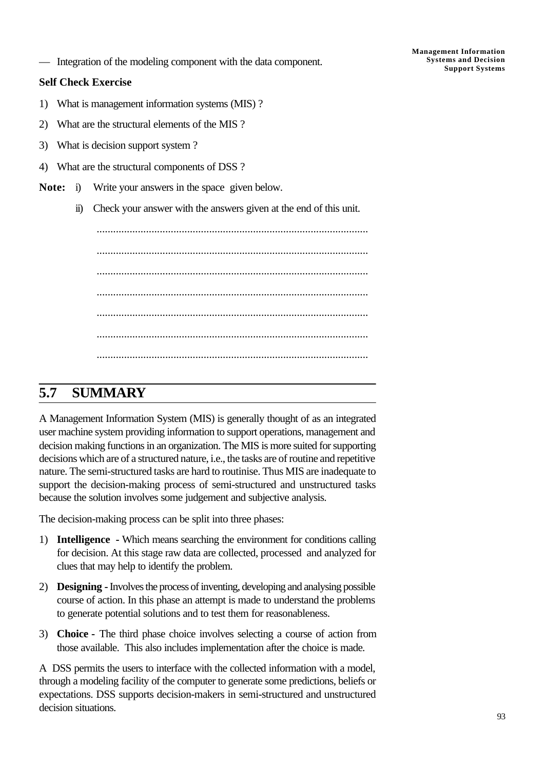**Systems and Decision** — **Support Systems** Integration of the modeling component with the data component.

#### **Self Check Exercise**

- 1) What is management information systems (MIS) ?
- 2) What are the structural elements of the MIS ?
- 3) What is decision support system ?
- 4) What are the structural components of DSS ?
- **Note:** i) Write your answers in the space given below.
	- ii) Check your answer with the answers given at the end of this unit.

................................................................................................... ................................................................................................... ................................................................................................... ................................................................................................... ................................................................................................... ................................................................................................... ...................................................................................................

### **5.7 SUMMARY**

A Management Information System (MIS) is generally thought of as an integrated user machine system providing information to support operations, management and decision making functions in an organization. The MIS is more suited for supporting decisions which are of a structured nature, i.e., the tasks are of routine and repetitive nature. The semi-structured tasks are hard to routinise. Thus MIS are inadequate to support the decision-making process of semi-structured and unstructured tasks because the solution involves some judgement and subjective analysis.

The decision-making process can be split into three phases:

- 1) **Intelligence** Which means searching the environment for conditions calling for decision. At this stage raw data are collected, processed and analyzed for clues that may help to identify the problem.
- 2) **Designing** Involves the process of inventing, developing and analysing possible course of action. In this phase an attempt is made to understand the problems to generate potential solutions and to test them for reasonableness.
- 3) **Choice** The third phase choice involves selecting a course of action from those available. This also includes implementation after the choice is made.

A DSS permits the users to interface with the collected information with a model, through a modeling facility of the computer to generate some predictions, beliefs or expectations. DSS supports decision-makers in semi-structured and unstructured decision situations.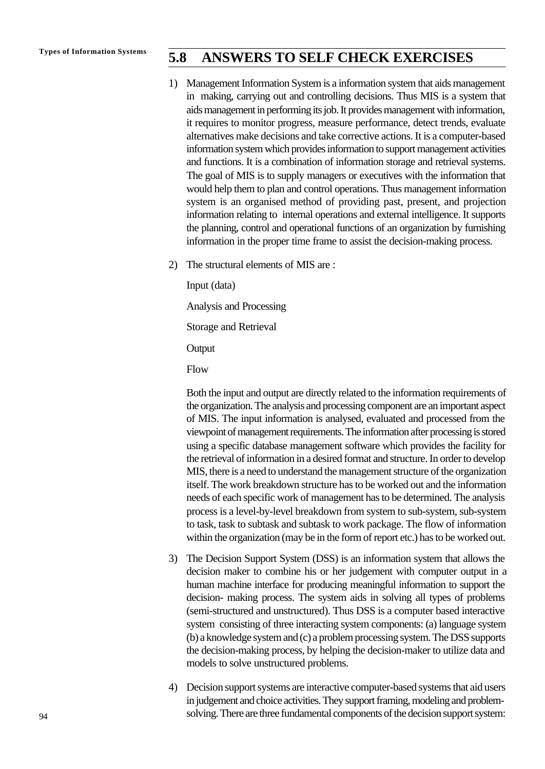## **Types of Information Systems 5.8 ANSWERS TO SELF CHECK EXERCISES**

- 1) Management Information System is a information system that aids management in making, carrying out and controlling decisions. Thus MIS is a system that aids management in performing its job. It provides management with information, it requires to monitor progress, measure performance, detect trends, evaluate alternatives make decisions and take corrective actions. It is a computer-based information system which provides information to support management activities and functions. It is a combination of information storage and retrieval systems. The goal of MIS is to supply managers or executives with the information that would help them to plan and control operations. Thus management information system is an organised method of providing past, present, and projection information relating to internal operations and external intelligence. It supports the planning, control and operational functions of an organization by furnishing information in the proper time frame to assist the decision-making process.
- 2) The structural elements of MIS are :

Input (data) Analysis and Processing Storage and Retrieval

**Output** 

Flow

Both the input and output are directly related to the information requirements of the organization. The analysis and processing component are an important aspect of MIS. The input information is analysed, evaluated and processed from the viewpoint of management requirements. The information after processing is stored using a specific database management software which provides the facility for the retrieval of information in a desired format and structure. In order to develop MIS, there is a need to understand the management structure of the organization itself. The work breakdown structure has to be worked out and the information needs of each specific work of management has to be determined. The analysis process is a level-by-level breakdown from system to sub-system, sub-system to task, task to subtask and subtask to work package. The flow of information within the organization (may be in the form of report etc.) has to be worked out.

- 3) The Decision Support System (DSS) is an information system that allows the decision maker to combine his or her judgement with computer output in a human machine interface for producing meaningful information to support the decision- making process. The system aids in solving all types of problems (semi-structured and unstructured). Thus DSS is a computer based interactive system consisting of three interacting system components: (a) language system (b) a knowledge system and (c) a problem processing system. The DSS supports the decision-making process, by helping the decision-maker to utilize data and models to solve unstructured problems.
- 4) Decision support systems are interactive computer-based systems that aid users in judgement and choice activities. They support framing, modeling and problemsolving. There are three fundamental components of the decision support system: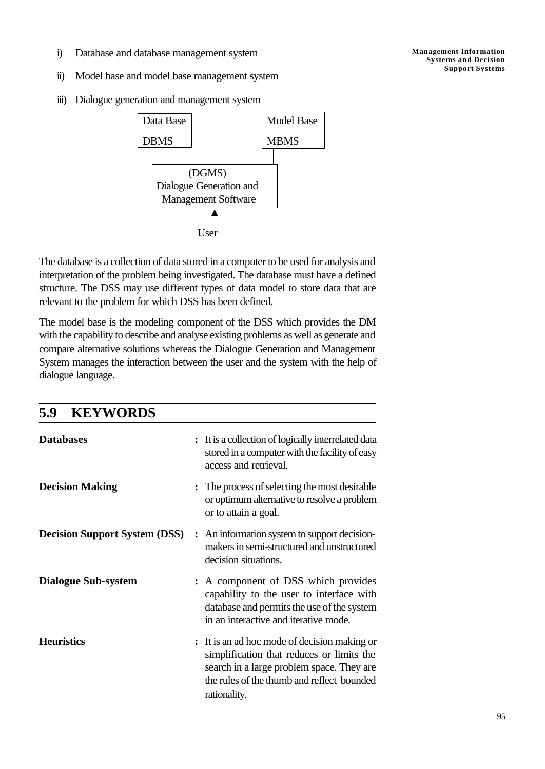- i) Database and database management system
- ii) Model base and model base management system
- iii) Dialogue generation and management system



The database is a collection of data stored in a computer to be used for analysis and interpretation of the problem being investigated. The database must have a defined structure. The DSS may use different types of data model to store data that are relevant to the problem for which DSS has been defined.

The model base is the modeling component of the DSS which provides the DM with the capability to describe and analyse existing problems as well as generate and compare alternative solutions whereas the Dialogue Generation and Management System manages the interaction between the user and the system with the help of dialogue language.

| <b>KEYWORDS</b><br>5.9               |                                                                                                                                                                                                      |
|--------------------------------------|------------------------------------------------------------------------------------------------------------------------------------------------------------------------------------------------------|
| <b>Databases</b>                     | : It is a collection of logically interrelated data<br>stored in a computer with the facility of easy<br>access and retrieval.                                                                       |
| <b>Decision Making</b>               | The process of selecting the most desirable<br>or optimum alternative to resolve a problem<br>or to attain a goal.                                                                                   |
| <b>Decision Support System (DSS)</b> | : An information system to support decision-<br>makers in semi-structured and unstructured<br>decision situations.                                                                                   |
| <b>Dialogue Sub-system</b>           | : A component of DSS which provides<br>capability to the user to interface with<br>database and permits the use of the system<br>in an interactive and iterative mode.                               |
| <b>Heuristics</b>                    | : It is an ad hoc mode of decision making or<br>simplification that reduces or limits the<br>search in a large problem space. They are<br>the rules of the thumb and reflect bounded<br>rationality. |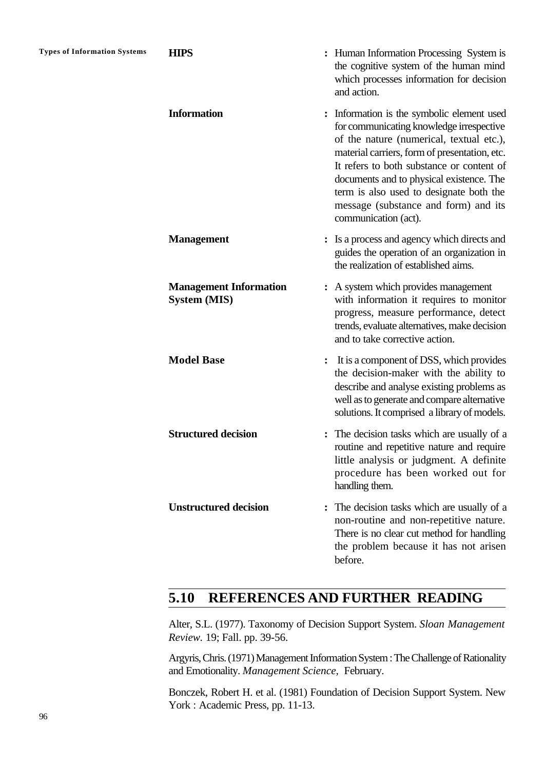| <b>Types of Information Systems</b> | <b>HIPS</b>                                          | : Human Information Processing System is<br>the cognitive system of the human mind<br>which processes information for decision<br>and action.                                                                                                                                                                                                                                         |
|-------------------------------------|------------------------------------------------------|---------------------------------------------------------------------------------------------------------------------------------------------------------------------------------------------------------------------------------------------------------------------------------------------------------------------------------------------------------------------------------------|
|                                     | <b>Information</b>                                   | Information is the symbolic element used<br>for communicating knowledge irrespective<br>of the nature (numerical, textual etc.),<br>material carriers, form of presentation, etc.<br>It refers to both substance or content of<br>documents and to physical existence. The<br>term is also used to designate both the<br>message (substance and form) and its<br>communication (act). |
|                                     | <b>Management</b>                                    | Is a process and agency which directs and<br>guides the operation of an organization in<br>the realization of established aims.                                                                                                                                                                                                                                                       |
|                                     | <b>Management Information</b><br><b>System (MIS)</b> | : A system which provides management<br>with information it requires to monitor<br>progress, measure performance, detect<br>trends, evaluate alternatives, make decision<br>and to take corrective action.                                                                                                                                                                            |
|                                     | <b>Model Base</b>                                    | It is a component of DSS, which provides<br>the decision-maker with the ability to<br>describe and analyse existing problems as<br>well as to generate and compare alternative<br>solutions. It comprised a library of models.                                                                                                                                                        |
|                                     | <b>Structured decision</b>                           | The decision tasks which are usually of a<br>routine and repetitive nature and require<br>little analysis or judgment. A definite<br>procedure has been worked out for<br>handling them.                                                                                                                                                                                              |
|                                     | <b>Unstructured decision</b>                         | The decision tasks which are usually of a<br>non-routine and non-repetitive nature.<br>There is no clear cut method for handling<br>the problem because it has not arisen<br>before.                                                                                                                                                                                                  |

## **5.10 REFERENCES AND FURTHER READING**

Alter, S.L. (1977). Taxonomy of Decision Support System. *Sloan Management Review.* 19; Fall. pp. 39-56.

Argyris, Chris. (1971) Management Information System : The Challenge of Rationality and Emotionality. *Management Science,* February.

Bonczek, Robert H. et al. (1981) Foundation of Decision Support System. New York : Academic Press, pp. 11-13.